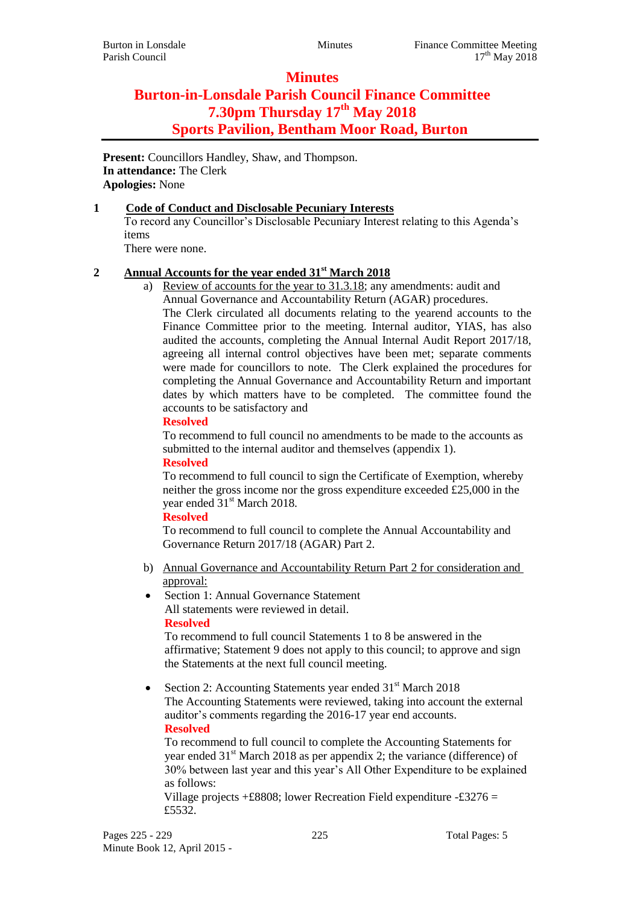## **Minutes**

# **Burton-in-Lonsdale Parish Council Finance Committee 7.30pm Thursday 17 th May 2018 Sports Pavilion, Bentham Moor Road, Burton**

**Present:** Councillors Handley, Shaw, and Thompson. **In attendance:** The Clerk **Apologies:** None

## **1 Code of Conduct and Disclosable Pecuniary Interests**

To record any Councillor's Disclosable Pecuniary Interest relating to this Agenda's items

There were none.

## **2 Annual Accounts for the year ended 31st March 2018**

a) Review of accounts for the year to 31.3.18; any amendments: audit and Annual Governance and Accountability Return (AGAR) procedures.

The Clerk circulated all documents relating to the yearend accounts to the Finance Committee prior to the meeting. Internal auditor, YIAS, has also audited the accounts, completing the Annual Internal Audit Report 2017/18, agreeing all internal control objectives have been met; separate comments were made for councillors to note. The Clerk explained the procedures for completing the Annual Governance and Accountability Return and important dates by which matters have to be completed. The committee found the accounts to be satisfactory and

#### **Resolved**

To recommend to full council no amendments to be made to the accounts as submitted to the internal auditor and themselves (appendix 1).

## **Resolved**

To recommend to full council to sign the Certificate of Exemption, whereby neither the gross income nor the gross expenditure exceeded £25,000 in the year ended 31<sup>st</sup> March 2018.

## **Resolved**

To recommend to full council to complete the Annual Accountability and Governance Return 2017/18 (AGAR) Part 2.

- b) Annual Governance and Accountability Return Part 2 for consideration and approval:
- Section 1: Annual Governance Statement All statements were reviewed in detail. **Resolved**

To recommend to full council Statements 1 to 8 be answered in the affirmative; Statement 9 does not apply to this council; to approve and sign the Statements at the next full council meeting.

• Section 2: Accounting Statements year ended  $31<sup>st</sup>$  March 2018 The Accounting Statements were reviewed, taking into account the external auditor's comments regarding the 2016-17 year end accounts. **Resolved**

To recommend to full council to complete the Accounting Statements for year ended  $31<sup>st</sup>$  March 2018 as per appendix 2; the variance (difference) of 30% between last year and this year's All Other Expenditure to be explained as follows:

Village projects  $\pm$  £8808; lower Recreation Field expenditure -£3276 = £5532.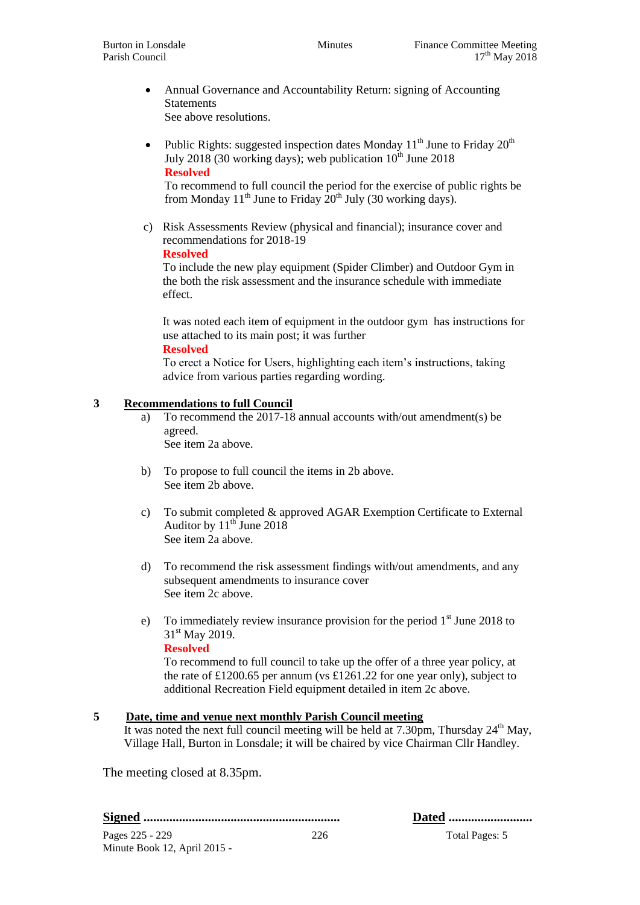- Annual Governance and Accountability Return: signing of Accounting **Statements** See above resolutions.
- Public Rights: suggested inspection dates Monday  $11<sup>th</sup>$  June to Friday  $20<sup>th</sup>$ July 2018 (30 working days); web publication  $10^{th}$  June 2018 **Resolved**

To recommend to full council the period for the exercise of public rights be from Monday 11<sup>th</sup> June to Friday  $20^{th}$  July (30 working days).

c) Risk Assessments Review (physical and financial); insurance cover and recommendations for 2018-19

#### **Resolved**

To include the new play equipment (Spider Climber) and Outdoor Gym in the both the risk assessment and the insurance schedule with immediate effect.

It was noted each item of equipment in the outdoor gym has instructions for use attached to its main post; it was further

#### **Resolved**

To erect a Notice for Users, highlighting each item's instructions, taking advice from various parties regarding wording.

#### **3 Recommendations to full Council**

- a) To recommend the 2017-18 annual accounts with/out amendment(s) be agreed. See item 2a above.
- b) To propose to full council the items in 2b above. See item 2b above.
- c) To submit completed & approved AGAR Exemption Certificate to External Auditor by  $11^{th}$  June 2018 See item 2a above.
- d) To recommend the risk assessment findings with/out amendments, and any subsequent amendments to insurance cover See item 2c above.
- e) To immediately review insurance provision for the period  $1<sup>st</sup>$  June 2018 to  $31<sup>st</sup>$  May 2019. **Resolved**

To recommend to full council to take up the offer of a three year policy, at the rate of £1200.65 per annum (vs £1261.22 for one year only), subject to additional Recreation Field equipment detailed in item 2c above.

## **5 Date, time and venue next monthly Parish Council meeting**

It was noted the next full council meeting will be held at  $7.30 \text{pm}$ , Thursday  $24^{\text{th}}$  May, Village Hall, Burton in Lonsdale; it will be chaired by vice Chairman Cllr Handley.

The meeting closed at 8.35pm.

**Signed ............................................................. Dated ..........................**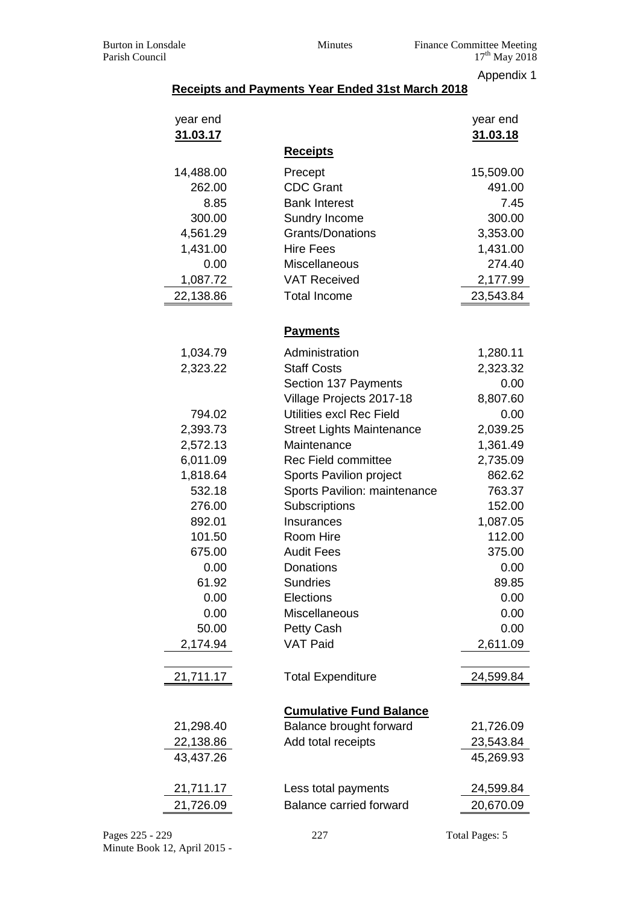Appendix 1

## **Receipts and Payments Year Ended 31st March 2018**

| year end<br><u>31.03.17</u> | <u>Receipts</u>                  | year end<br>31.03.18 |
|-----------------------------|----------------------------------|----------------------|
|                             |                                  |                      |
| 14,488.00                   | Precept                          | 15,509.00            |
| 262.00                      | <b>CDC Grant</b>                 | 491.00               |
| 8.85                        | <b>Bank Interest</b>             | 7.45                 |
| 300.00                      | Sundry Income                    | 300.00               |
| 4,561.29                    | <b>Grants/Donations</b>          | 3,353.00             |
| 1,431.00                    | <b>Hire Fees</b>                 | 1,431.00             |
| 0.00                        | Miscellaneous                    | 274.40               |
| 1,087.72                    | <b>VAT Received</b>              | 2,177.99             |
| 22,138.86                   | <b>Total Income</b>              | 23,543.84            |
|                             | <b>Payments</b>                  |                      |
| 1,034.79                    | Administration                   | 1,280.11             |
| 2,323.22                    | <b>Staff Costs</b>               | 2,323.32             |
|                             | Section 137 Payments             | 0.00                 |
|                             | Village Projects 2017-18         | 8,807.60             |
| 794.02                      | Utilities excl Rec Field         | 0.00                 |
| 2,393.73                    | <b>Street Lights Maintenance</b> | 2,039.25             |
| 2,572.13                    | Maintenance                      | 1,361.49             |
| 6,011.09                    | <b>Rec Field committee</b>       | 2,735.09             |
| 1,818.64                    | Sports Pavilion project          | 862.62               |
| 532.18                      | Sports Pavilion: maintenance     | 763.37               |
| 276.00                      | Subscriptions                    | 152.00               |
| 892.01                      | Insurances                       | 1,087.05             |
| 101.50                      | Room Hire                        | 112.00               |
| 675.00                      | <b>Audit Fees</b>                | 375.00               |
| 0.00                        | Donations                        | 0.00                 |
| 61.92                       | <b>Sundries</b>                  | 89.85                |
| 0.00                        | Elections                        | 0.00                 |
| 0.00                        | Miscellaneous                    | 0.00                 |
| 50.00                       | <b>Petty Cash</b>                | 0.00                 |
| 2,174.94                    | <b>VAT Paid</b>                  | 2,611.09             |
| 21,711.17                   | <b>Total Expenditure</b>         | 24,599.84            |
|                             |                                  |                      |
|                             | <b>Cumulative Fund Balance</b>   |                      |
| 21,298.40                   | Balance brought forward          | 21,726.09            |
| 22,138.86                   | Add total receipts               | 23,543.84            |
| 43,437.26                   |                                  | 45,269.93            |
| 21,711.17                   | Less total payments              | 24,599.84            |
| 21,726.09                   | <b>Balance carried forward</b>   | 20,670.09            |
|                             |                                  |                      |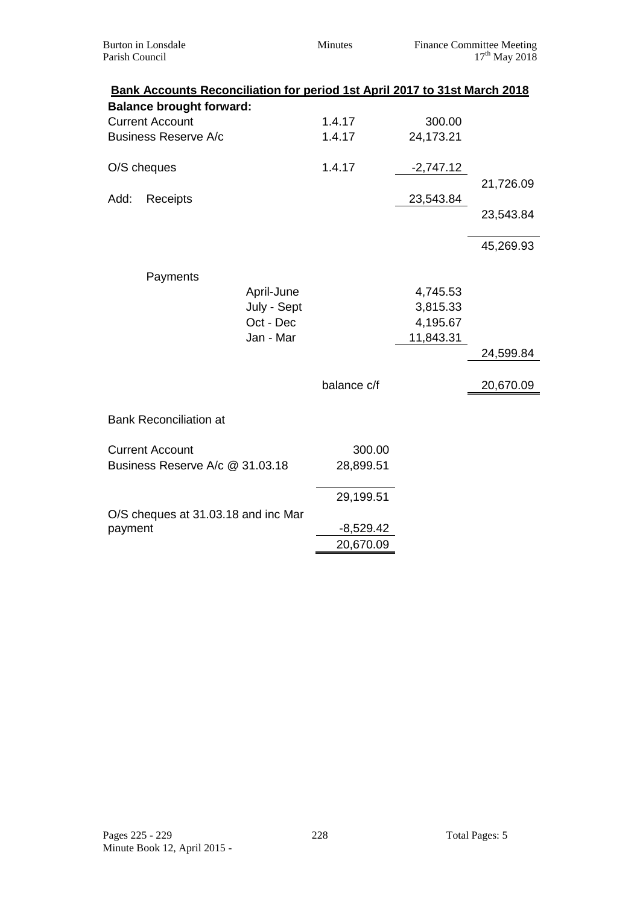| <b>Burton</b> in Lonsdale<br>Parish Council |                                 | Minutes                                                                   | <b>Finance Committee Meeting</b><br>$17^{th}$ May 2018 |           |           |
|---------------------------------------------|---------------------------------|---------------------------------------------------------------------------|--------------------------------------------------------|-----------|-----------|
|                                             | <b>Balance brought forward:</b> | Bank Accounts Reconciliation for period 1st April 2017 to 31st March 2018 |                                                        |           |           |
|                                             |                                 |                                                                           |                                                        |           |           |
|                                             | <b>Current Account</b>          |                                                                           | 1.4.17                                                 | 300.00    |           |
| <b>Business Reserve A/c</b>                 |                                 | 1.4.17                                                                    | 24,173.21                                              |           |           |
| O/S cheques                                 |                                 | 1.4.17                                                                    | $-2,747.12$                                            |           |           |
|                                             |                                 |                                                                           |                                                        |           | 21,726.09 |
| Add:                                        | Receipts                        |                                                                           |                                                        | 23,543.84 |           |
|                                             |                                 |                                                                           |                                                        |           | 23,543.84 |
|                                             |                                 |                                                                           |                                                        |           | 45,269.93 |
|                                             | Payments                        |                                                                           |                                                        |           |           |
|                                             |                                 | April-June                                                                |                                                        | 4,745.53  |           |
|                                             |                                 | July - Sept                                                               |                                                        | 3,815.33  |           |
|                                             |                                 | Oct - Dec                                                                 |                                                        | 4,195.67  |           |
|                                             |                                 | Jan - Mar                                                                 |                                                        | 11,843.31 |           |
|                                             |                                 |                                                                           |                                                        |           | 24,599.84 |
|                                             |                                 |                                                                           |                                                        |           |           |
|                                             |                                 |                                                                           | balance c/f                                            |           | 20,670.09 |
|                                             | <b>Bank Reconciliation at</b>   |                                                                           |                                                        |           |           |
|                                             |                                 |                                                                           |                                                        |           |           |
|                                             | <b>Current Account</b>          |                                                                           | 300.00                                                 |           |           |
|                                             | Business Reserve A/c @ 31.03.18 |                                                                           | 28,899.51                                              |           |           |
|                                             |                                 |                                                                           | 29,199.51                                              |           |           |
|                                             |                                 | O/S cheques at 31.03.18 and inc Mar                                       |                                                        |           |           |
| payment                                     |                                 |                                                                           | $-8,529.42$                                            |           |           |
|                                             |                                 |                                                                           | 20,670.09                                              |           |           |